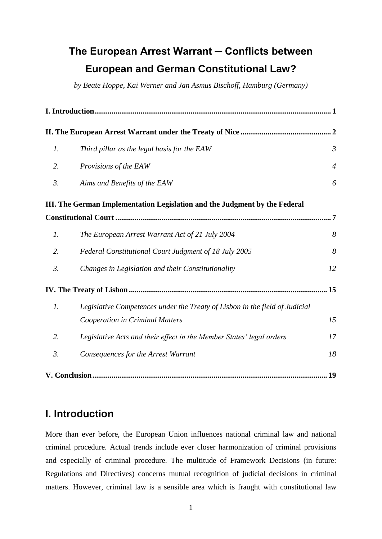# **The European Arrest Warrant ─ Conflicts between European and German Constitutional Law?**

*by Beate Hoppe, Kai Werner and Jan Asmus Bischoff, Hamburg (Germany)*

| $\mathfrak{1}.$ | Third pillar as the legal basis for the EAW                                 | $\mathfrak{Z}$ |
|-----------------|-----------------------------------------------------------------------------|----------------|
| 2.              | Provisions of the EAW                                                       | $\overline{4}$ |
| 3.              | Aims and Benefits of the EAW                                                | 6              |
|                 | III. The German Implementation Legislation and the Judgment by the Federal  |                |
|                 |                                                                             | .7             |
| $\mathfrak{1}.$ | The European Arrest Warrant Act of 21 July 2004                             | 8              |
| 2.              | Federal Constitutional Court Judgment of 18 July 2005                       | 8              |
| 3.              | Changes in Legislation and their Constitutionality                          | 12             |
|                 |                                                                             |                |
| $\mathfrak{1}.$ | Legislative Competences under the Treaty of Lisbon in the field of Judicial |                |
|                 | Cooperation in Criminal Matters                                             | 15             |
| 2.              | Legislative Acts and their effect in the Member States' legal orders        | 17             |
| 3.              | Consequences for the Arrest Warrant                                         | 18             |
|                 |                                                                             | .19            |

# <span id="page-0-0"></span>**I. Introduction**

More than ever before, the European Union influences national criminal law and national criminal procedure. Actual trends include ever closer harmonization of criminal provisions and especially of criminal procedure. The multitude of Framework Decisions (in future: Regulations and Directives) concerns mutual recognition of judicial decisions in criminal matters. However, criminal law is a sensible area which is fraught with constitutional law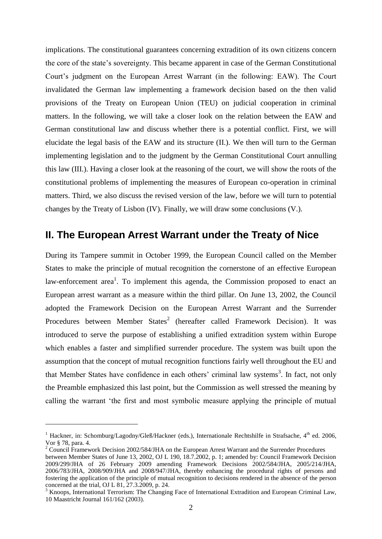implications. The constitutional guarantees concerning extradition of its own citizens concern the core of the state's sovereignty. This became apparent in case of the German Constitutional Court's judgment on the European Arrest Warrant (in the following: EAW). The Court invalidated the German law implementing a framework decision based on the then valid provisions of the Treaty on European Union (TEU) on judicial cooperation in criminal matters. In the following, we will take a closer look on the relation between the EAW and German constitutional law and discuss whether there is a potential conflict. First, we will elucidate the legal basis of the EAW and its structure (II.). We then will turn to the German implementing legislation and to the judgment by the German Constitutional Court annulling this law (III.). Having a closer look at the reasoning of the court, we will show the roots of the constitutional problems of implementing the measures of European co-operation in criminal matters. Third, we also discuss the revised version of the law, before we will turn to potential changes by the Treaty of Lisbon (IV). Finally, we will draw some conclusions (V.).

#### <span id="page-1-0"></span>**II. The European Arrest Warrant under the Treaty of Nice**

During its Tampere summit in October 1999, the European Council called on the Member States to make the principle of mutual recognition the cornerstone of an effective European law-enforcement area<sup>1</sup>. To implement this agenda, the Commission proposed to enact an European arrest warrant as a measure within the third pillar. On June 13, 2002, the Council adopted the Framework Decision on the European Arrest Warrant and the Surrender Procedures between Member States<sup>2</sup> (hereafter called Framework Decision). It was introduced to serve the purpose of establishing a unified extradition system within Europe which enables a faster and simplified surrender procedure. The system was built upon the assumption that the concept of mutual recognition functions fairly well throughout the EU and that Member States have confidence in each others' criminal law systems<sup>3</sup>. In fact, not only the Preamble emphasized this last point, but the Commission as well stressed the meaning by calling the warrant 'the first and most symbolic measure applying the principle of mutual

<sup>&</sup>lt;sup>1</sup> Hackner, in: Schomburg/Lagodny/Gleß/Hackner (eds.), Internationale Rechtshilfe in Strafsache,  $4<sup>th</sup>$  ed. 2006, Vor § 78, para. 4.

<sup>&</sup>lt;sup>2</sup> Council Framework Decision 2002/584/JHA on the European Arrest Warrant and the Surrender Procedures

between Member States of June 13, 2002, OJ L 190, 18.7.2002, p. 1; amended by: Council Framework Decision 2009/299/JHA of 26 February 2009 amending Framework Decisions 2002/584/JHA, 2005/214/JHA, 2006/783/JHA, 2008/909/JHA and 2008/947/JHA, thereby enhancing the procedural rights of persons and fostering the application of the principle of mutual recognition to decisions rendered in the absence of the person concerned at the trial, OJ L 81, 27.3.2009, p. 24.

<sup>&</sup>lt;sup>3</sup> Knoops, International Terrorism: The Changing Face of International Extradition and European Criminal Law, 10 Maastricht Journal 161/162 (2003).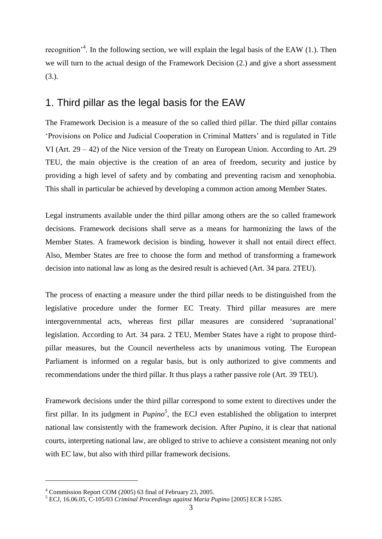recognition<sup>34</sup>. In the following section, we will explain the legal basis of the EAW (1.). Then we will turn to the actual design of the Framework Decision (2.) and give a short assessment (3.).

### <span id="page-2-0"></span>1. Third pillar as the legal basis for the EAW

The Framework Decision is a measure of the so called third pillar. The third pillar contains ‗Provisions on Police and Judicial Cooperation in Criminal Matters' and is regulated in Title VI (Art. 29 – 42) of the Nice version of the Treaty on European Union. According to Art. 29 TEU, the main objective is the creation of an area of freedom, security and justice by providing a high level of safety and by combating and preventing racism and xenophobia. This shall in particular be achieved by developing a common action among Member States.

Legal instruments available under the third pillar among others are the so called framework decisions. Framework decisions shall serve as a means for harmonizing the laws of the Member States. A framework decision is binding, however it shall not entail direct effect. Also, Member States are free to choose the form and method of transforming a framework decision into national law as long as the desired result is achieved (Art. 34 para. 2TEU).

The process of enacting a measure under the third pillar needs to be distinguished from the legislative procedure under the former EC Treaty. Third pillar measures are mere intergovernmental acts, whereas first pillar measures are considered 'supranational' legislation. According to Art. 34 para. 2 TEU, Member States have a right to propose thirdpillar measures, but the Council nevertheless acts by unanimous voting. The European Parliament is informed on a regular basis, but is only authorized to give comments and recommendations under the third pillar. It thus plays a rather passive role (Art. 39 TEU).

Framework decisions under the third pillar correspond to some extent to directives under the first pillar. In its judgment in  $Pupino^5$ , the ECJ even established the obligation to interpret national law consistently with the framework decision. After *Pupino,* it is clear that national courts, interpreting national law, are obliged to strive to achieve a consistent meaning not only with EC law, but also with third pillar framework decisions.

 $4$  Commission Report COM (2005) 63 final of February 23, 2005.

<sup>5</sup> ECJ, 16.06.05, C-105/03 *Criminal Proceedings against Maria Pupino* [2005] ECR I-5285.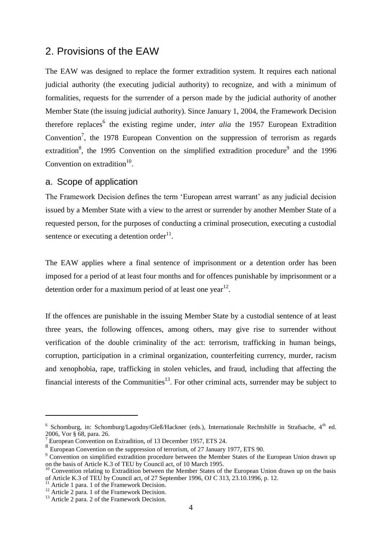### <span id="page-3-0"></span>2. Provisions of the EAW

The EAW was designed to replace the former extradition system. It requires each national judicial authority (the executing judicial authority) to recognize, and with a minimum of formalities, requests for the surrender of a person made by the judicial authority of another Member State (the issuing judicial authority). Since January 1, 2004, the Framework Decision therefore replaces<sup>6</sup> the existing regime under, *inter alia* the 1957 European Extradition Convention<sup>7</sup>, the 1978 European Convention on the suppression of terrorism as regards extradition<sup>8</sup>, the 1995 Convention on the [simplified extradition procedure](http://europa.eu/legislation_summaries/justice_freedom_security/judicial_cooperation_in_criminal_matters/l14015a_en.htm)<sup>9</sup> and the 1996 Convention on [extradition](http://europa.eu/legislation_summaries/justice_freedom_security/judicial_cooperation_in_criminal_matters/l14015b_en.htm) $10$ .

#### a. Scope of application

The Framework Decision defines the term 'European arrest warrant' as any judicial decision issued by a Member State with a view to the arrest or surrender by another Member State of a requested person, for the purposes of conducting a criminal prosecution, executing a custodial sentence or executing a detention order $^{11}$ .

The EAW applies where a final sentence of imprisonment or a detention order has been imposed for a period of at least four months and for offences punishable by imprisonment or a detention order for a maximum period of at least one year<sup>12</sup>.

If the offences are punishable in the issuing Member State by a custodial sentence of at least three years, the following offences, among others, may give rise to surrender without verification of the double criminality of the act: terrorism, trafficking in human beings, corruption, participation in a criminal organization, counterfeiting currency, murder, racism and xenophobia, rape, trafficking in stolen vehicles, and fraud, including that affecting the financial interests of the Communities<sup>13</sup>. For other criminal acts, surrender may be subject to

 $6$  Schomburg, in: Schomburg/Lagodny/Gleß/Hackner (eds.), Internationale Rechtshilfe in Strafsache,  $4<sup>th</sup>$  ed. 2006, Vor § 68, para. 26.

European Convention on Extradition, of 13 December 1957, ETS 24.

<sup>&</sup>lt;sup>8</sup> European Convention on the suppression of terrorism, of 27 January 1977, ETS 90.

<sup>&</sup>lt;sup>9</sup> Convention on simplified extradition procedure between the Member States of the European Union drawn up on the basis of Article K.3 of TEU by Council act, of 10 March 1995.

 $10$  Convention relating to Extradition between the Member States of the European Union drawn up on the basis of Article K.3 of TEU by Council act, of 27 September 1996, OJ C 313, 23.10.1996, p. 12.

<sup>&</sup>lt;sup>11</sup> Article 1 para. 1 of the Framework Decision.

 $12$  Article 2 para. 1 of the Framework Decision.

<sup>&</sup>lt;sup>13</sup> Article 2 para. 2 of the Framework Decision.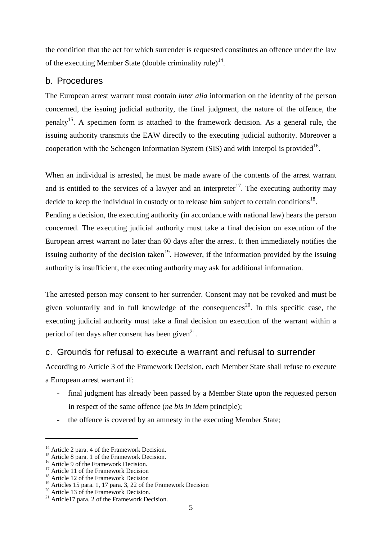the condition that the act for which surrender is requested constitutes an offence under the law of the executing Member State (double criminality rule)<sup>14</sup>.

#### b. Procedures

The European arrest warrant must contain *inter alia* information on the identity of the person concerned, the issuing judicial authority, the final judgment, the nature of the offence, the penalty<sup>15</sup>. A specimen form is attached to the framework decision. As a general rule, the issuing authority transmits the EAW directly to the executing judicial authority. Moreover a cooperation with the [Schengen Information System](http://europa.eu/legislation_summaries/justice_freedom_security/free_movement_of_persons_asylum_immigration/l14544_en.htm) (SIS) and with Interpol is provided<sup>16</sup>.

When an individual is arrested, he must be made aware of the contents of the arrest warrant and is entitled to the services of a lawyer and an interpreter<sup>17</sup>. The executing authority may decide to keep the individual in custody or to release him subject to certain conditions<sup>18</sup>. Pending a decision, the executing authority (in accordance with national law) hears the person concerned. The executing judicial authority must take a final decision on execution of the European arrest warrant no later than 60 days after the arrest. It then immediately notifies the issuing authority of the decision taken<sup>19</sup>. However, if the information provided by the issuing authority is insufficient, the executing authority may ask for additional information.

The arrested person may consent to her surrender. Consent may not be revoked and must be given voluntarily and in full knowledge of the consequences<sup>20</sup>. In this specific case, the executing judicial authority must take a final decision on execution of the warrant within a period of ten days after consent has been given $^{21}$ .

#### c. Grounds for refusal to execute a warrant and refusal to surrender

According to Article 3 of the Framework Decision, each Member State shall refuse to execute a European arrest warrant if:

- final judgment has already been passed by a Member State upon the requested person in respect of the same offence (*ne bis in idem* principle);
- the offence is covered by an amnesty in the executing Member State;

 $14$  Article 2 para. 4 of the Framework Decision.

<sup>&</sup>lt;sup>15</sup> Article 8 para. 1 of the Framework Decision.

<sup>&</sup>lt;sup>16</sup> Article 9 of the Framework Decision.

 $17$  Article 11 of the Framework Decision

<sup>&</sup>lt;sup>18</sup> Article 12 of the Framework Decision

<sup>&</sup>lt;sup>19</sup> Articles 15 para. 1, 17 para. 3, 22 of the Framework Decision

<sup>&</sup>lt;sup>20</sup> Article 13 of the Framework Decision.

 $21$  Article17 para. 2 of the Framework Decision.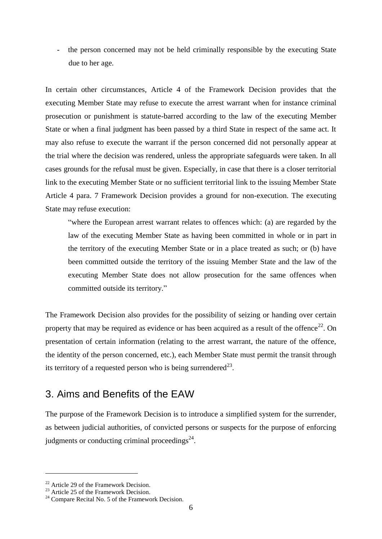the person concerned may not be held criminally responsible by the executing State due to her age.

In certain other circumstances, Article 4 of the Framework Decision provides that the executing Member State may refuse to execute the arrest warrant when for instance criminal prosecution or punishment is statute-barred according to the law of the executing Member State or when a final judgment has been passed by a third State in respect of the same act. It may also refuse to execute the warrant if the person concerned did not personally appear at the trial where the decision was rendered, unless the appropriate safeguards were taken. In all cases grounds for the refusal must be given. Especially, in case that there is a closer territorial link to the executing Member State or no sufficient territorial link to the issuing Member State Article 4 para. 7 Framework Decision provides a ground for non-execution. The executing State may refuse execution:

"where the European arrest warrant relates to offences which: (a) are regarded by the law of the executing Member State as having been committed in whole or in part in the territory of the executing Member State or in a place treated as such; or (b) have been committed outside the territory of the issuing Member State and the law of the executing Member State does not allow prosecution for the same offences when committed outside its territory."

The Framework Decision also provides for the possibility of seizing or handing over certain property that may be required as evidence or has been acquired as a result of the offence<sup>22</sup>. On presentation of certain information (relating to the arrest warrant, the nature of the offence, the identity of the person concerned, etc.), each Member State must permit the transit through its territory of a requested person who is being surrendered<sup>23</sup>.

## <span id="page-5-0"></span>3. Aims and Benefits of the EAW

The purpose of the Framework Decision is to introduce a simplified system for the surrender, as between judicial authorities, of convicted persons or suspects for the purpose of enforcing judgments or conducting criminal proceedings $24$ .

<u>.</u>

<sup>&</sup>lt;sup>22</sup> Article 29 of the Framework Decision.

<sup>&</sup>lt;sup>23</sup> Article 25 of the Framework Decision.

 $24$  Compare Recital No. 5 of the Framework Decision.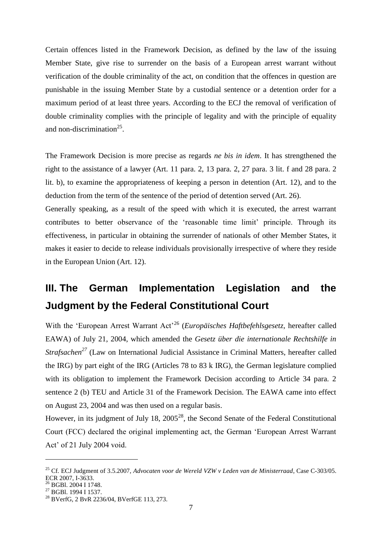Certain offences listed in the Framework Decision, as defined by the law of the issuing Member State, give rise to surrender on the basis of a European arrest warrant without verification of the double criminality of the act, on condition that the offences in question are punishable in the issuing Member State by a custodial sentence or a detention order for a maximum period of at least three years. According to the ECJ the removal of verification of double criminality complies with the principle of legality and with the principle of equality and non-discrimination<sup>25</sup>.

The Framework Decision is more precise as regards *ne bis in idem*. It has strengthened the right to the assistance of a lawyer (Art. 11 para. 2, 13 para. 2, 27 para. 3 lit. f and 28 para. 2 lit. b), to examine the appropriateness of keeping a person in detention (Art. 12), and to the deduction from the term of the sentence of the period of detention served (Art. 26).

Generally speaking, as a result of the speed with which it is executed, the arrest warrant contributes to better observance of the 'reasonable time limit' principle. Through its effectiveness, in particular in obtaining the surrender of nationals of other Member States, it makes it easier to decide to release individuals provisionally irrespective of where they reside in the European Union (Art. 12).

# <span id="page-6-0"></span>**III. The German Implementation Legislation and the Judgment by the Federal Constitutional Court**

With the 'European Arrest Warrant Act<sup>26</sup> (*Europäisches Haftbefehlsgesetz*, hereafter called EAWA) of July 21, 2004, which amended the *Gesetz über die internationale Rechtshilfe in Strafsachen<sup>27</sup>* (Law on International Judicial Assistance in Criminal Matters, hereafter called the IRG) by part eight of the IRG (Articles 78 to 83 k IRG), the German legislature complied with its obligation to implement the Framework Decision according to Article 34 para. 2 sentence 2 (b) TEU and Article 31 of the Framework Decision. The EAWA came into effect on August 23, 2004 and was then used on a regular basis.

However, in its judgment of July 18,  $2005^{28}$ , the Second Senate of the Federal Constitutional Court (FCC) declared the original implementing act, the German 'European Arrest Warrant Act' of 21 July 2004 void.

<sup>25</sup> Cf. ECJ Judgment of 3.5.2007, *Advocaten voor de Wereld VZW v Leden van de Ministerraad*, Case C-303/05. ECR 2007, I-3633.

<sup>&</sup>lt;sup>26</sup> BGBl. 2004 I 1748.

<sup>&</sup>lt;sup>27</sup> BGBl. 1994 I 1537.

<sup>&</sup>lt;sup>28</sup> BVerfG, 2 BvR 2236/04, BVerfGE 113, 273.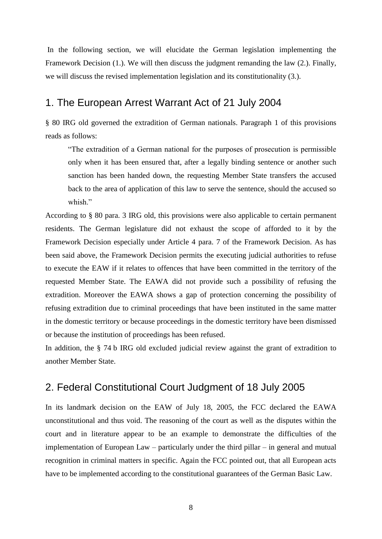In the following section, we will elucidate the German legislation implementing the Framework Decision (1.). We will then discuss the judgment remanding the law (2.). Finally, we will discuss the revised implementation legislation and its constitutionality (3.).

### <span id="page-7-0"></span>1. The European Arrest Warrant Act of 21 July 2004

§ 80 IRG old governed the extradition of German nationals. Paragraph 1 of this provisions reads as follows:

―The extradition of a German national for the purposes of prosecution is permissible only when it has been ensured that, after a legally binding sentence or another such sanction has been handed down, the requesting Member State transfers the accused back to the area of application of this law to serve the sentence, should the accused so whish"

According to § 80 para. 3 IRG old, this provisions were also applicable to certain permanent residents. The German legislature did not exhaust the scope of afforded to it by the Framework Decision especially under Article 4 para. 7 of the Framework Decision. As has been said above, the Framework Decision permits the executing judicial authorities to refuse to execute the EAW if it relates to offences that have been committed in the territory of the requested Member State. The EAWA did not provide such a possibility of refusing the extradition. Moreover the EAWA shows a gap of protection concerning the possibility of refusing extradition due to criminal proceedings that have been instituted in the same matter in the domestic territory or because proceedings in the domestic territory have been dismissed or because the institution of proceedings has been refused.

In addition, the § 74 b IRG old excluded judicial review against the grant of extradition to another Member State.

### <span id="page-7-1"></span>2. Federal Constitutional Court Judgment of 18 July 2005

In its landmark decision on the EAW of July 18, 2005, the FCC declared the EAWA unconstitutional and thus void. The reasoning of the court as well as the disputes within the court and in literature appear to be an example to demonstrate the difficulties of the implementation of European Law – particularly under the third pillar – in general and mutual recognition in criminal matters in specific. Again the FCC pointed out, that all European acts have to be implemented according to the constitutional guarantees of the German Basic Law.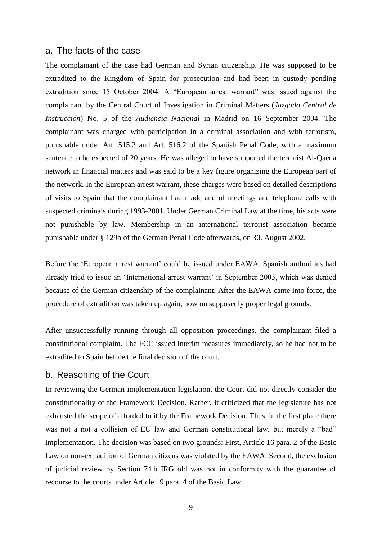#### a. The facts of the case

The complainant of the case had German and Syrian citizenship. He was supposed to be extradited to the Kingdom of Spain for prosecution and had been in custody pending extradition since 15 October 2004. A "European arrest warrant" was issued against the complainant by the Central Court of Investigation in Criminal Matters (*Juzgado Central de Instrucción*) No. 5 of the *Audiencia Nacional* in Madrid on 16 September 2004. The complainant was charged with participation in a criminal association and with terrorism, punishable under Art. 515.2 and Art. 516.2 of the Spanish Penal Code, with a maximum sentence to be expected of 20 years. He was alleged to have supported the terrorist Al-Qaeda network in financial matters and was said to be a key figure organizing the European part of the network. In the European arrest warrant, these charges were based on detailed descriptions of visits to Spain that the complainant had made and of meetings and telephone calls with suspected criminals during 1993-2001. Under German Criminal Law at the time, his acts were not punishable by law. Membership in an international terrorist association became punishable under § 129b of the German Penal Code afterwards, on 30. August 2002.

Before the 'European arrest warrant' could be issued under EAWA, Spanish authorities had already tried to issue an 'International arrest warrant' in September 2003, which was denied because of the German citizenship of the complainant. After the EAWA came into force, the procedure of extradition was taken up again, now on supposedly proper legal grounds.

After unsuccessfully running through all opposition proceedings, the complainant filed a constitutional complaint. The FCC issued interim measures immediately, so he had not to be extradited to Spain before the final decision of the court.

#### b. Reasoning of the Court

In reviewing the German implementation legislation, the Court did not directly consider the constitutionality of the Framework Decision. Rather, it criticized that the legislature has not exhausted the scope of afforded to it by the Framework Decision. Thus, in the first place there was not a not a collision of EU law and German constitutional law, but merely a "bad" implementation. The decision was based on two grounds: First, Article 16 para. 2 of the Basic Law on non-extradition of German citizens was violated by the EAWA. Second, the exclusion of judicial review by Section 74 b IRG old was not in conformity with the guarantee of recourse to the courts under Article 19 para. 4 of the Basic Law.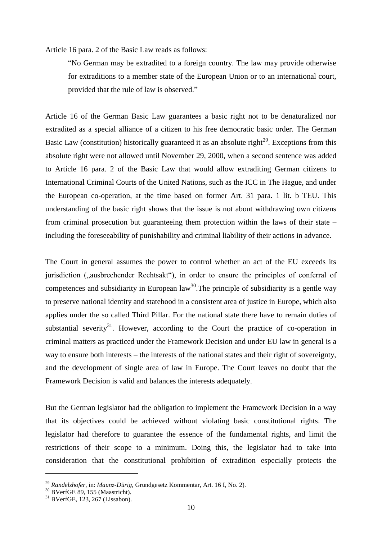Article 16 para. 2 of the Basic Law reads as follows:

―No German may be extradited to a foreign country. The law may provide otherwise for extraditions to a member state of the European Union or to an international court, provided that the rule of law is observed."

Article 16 of the German Basic Law guarantees a basic right not to be denaturalized nor extradited as a special alliance of a citizen to his free democratic basic order. The German Basic Law (constitution) historically guaranteed it as an absolute right $^{29}$ . Exceptions from this absolute right were not allowed until November 29, 2000, when a second sentence was added to Article 16 para. 2 of the Basic Law that would allow extraditing German citizens to International Criminal Courts of the United Nations, such as the ICC in The Hague, and under the European co-operation, at the time based on former Art. 31 para. 1 lit. b TEU. This understanding of the basic right shows that the issue is not about withdrawing own citizens from criminal prosecution but guaranteeing them protection within the laws of their state – including the foreseeability of punishability and criminal liability of their actions in advance.

The Court in general assumes the power to control whether an act of the EU exceeds its jurisdiction ("ausbrechender Rechtsakt"), in order to ensure the principles of conferral of competences and subsidiarity in European  $law^{30}$ . The principle of subsidiarity is a gentle way to preserve national identity and statehood in a consistent area of justice in Europe, which also applies under the so called Third Pillar. For the national state there have to remain duties of substantial severity<sup>31</sup>. However, according to the Court the practice of co-operation in criminal matters as practiced under the Framework Decision and under EU law in general is a way to ensure both interests – the interests of the national states and their right of sovereignty, and the development of single area of law in Europe. The Court leaves no doubt that the Framework Decision is valid and balances the interests adequately.

But the German legislator had the obligation to implement the Framework Decision in a way that its objectives could be achieved without violating basic constitutional rights. The legislator had therefore to guarantee the essence of the fundamental rights, and limit the restrictions of their scope to a minimum. Doing this, the legislator had to take into consideration that the constitutional prohibition of extradition especially protects the

<u>.</u>

<sup>29</sup> *Randelzhofer,* in: *Maunz-Dürig,* Grundgesetz Kommentar, Art. 16 I, No. 2).

 $30$  BVerfGE 89, 155 (Maastricht).

<sup>31</sup> BVerfGE, 123, 267 (Lissabon).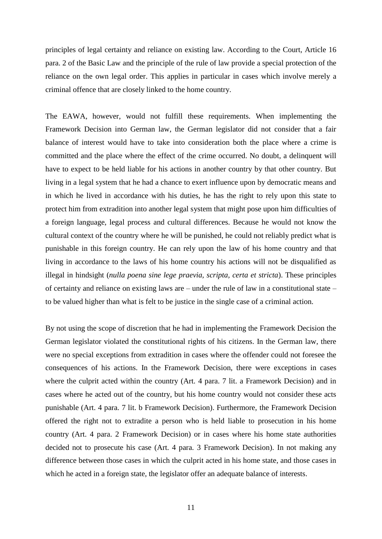principles of legal certainty and reliance on existing law. According to the Court, Article 16 para. 2 of the Basic Law and the principle of the rule of law provide a special protection of the reliance on the own legal order. This applies in particular in cases which involve merely a criminal offence that are closely linked to the home country.

The EAWA, however, would not fulfill these requirements. When implementing the Framework Decision into German law, the German legislator did not consider that a fair balance of interest would have to take into consideration both the place where a crime is committed and the place where the effect of the crime occurred. No doubt, a delinquent will have to expect to be held liable for his actions in another country by that other country. But living in a legal system that he had a chance to exert influence upon by democratic means and in which he lived in accordance with his duties, he has the right to rely upon this state to protect him from extradition into another legal system that might pose upon him difficulties of a foreign language, legal process and cultural differences. Because he would not know the cultural context of the country where he will be punished, he could not reliably predict what is punishable in this foreign country. He can rely upon the law of his home country and that living in accordance to the laws of his home country his actions will not be disqualified as illegal in hindsight (*nulla poena sine lege praevia, scripta, certa et stricta*). These principles of certainty and reliance on existing laws are – under the rule of law in a constitutional state – to be valued higher than what is felt to be justice in the single case of a criminal action.

By not using the scope of discretion that he had in implementing the Framework Decision the German legislator violated the constitutional rights of his citizens. In the German law, there were no special exceptions from extradition in cases where the offender could not foresee the consequences of his actions. In the Framework Decision, there were exceptions in cases where the culprit acted within the country (Art. 4 para. 7 lit. a Framework Decision) and in cases where he acted out of the country, but his home country would not consider these acts punishable (Art. 4 para. 7 lit. b Framework Decision). Furthermore, the Framework Decision offered the right not to extradite a person who is held liable to prosecution in his home country (Art. 4 para. 2 Framework Decision) or in cases where his home state authorities decided not to prosecute his case (Art. 4 para. 3 Framework Decision). In not making any difference between those cases in which the culprit acted in his home state, and those cases in which he acted in a foreign state, the legislator offer an adequate balance of interests.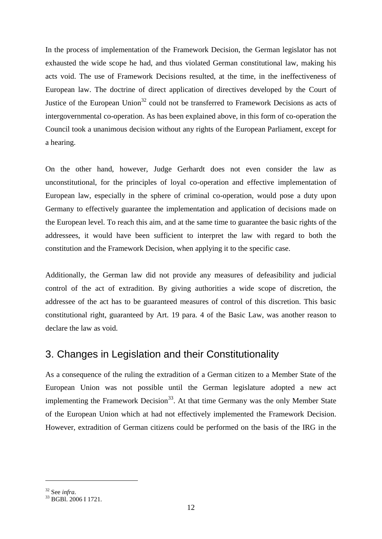In the process of implementation of the Framework Decision, the German legislator has not exhausted the wide scope he had, and thus violated German constitutional law, making his acts void. The use of Framework Decisions resulted, at the time, in the ineffectiveness of European law. The doctrine of direct application of directives developed by the Court of Justice of the European Union<sup>32</sup> could not be transferred to Framework Decisions as acts of intergovernmental co-operation. As has been explained above, in this form of co-operation the Council took a unanimous decision without any rights of the European Parliament, except for a hearing.

On the other hand, however, Judge Gerhardt does not even consider the law as unconstitutional, for the principles of loyal co-operation and effective implementation of European law, especially in the sphere of criminal co-operation, would pose a duty upon Germany to effectively guarantee the implementation and application of decisions made on the European level. To reach this aim, and at the same time to guarantee the basic rights of the addressees, it would have been sufficient to interpret the law with regard to both the constitution and the Framework Decision, when applying it to the specific case.

Additionally, the German law did not provide any measures of defeasibility and judicial control of the act of extradition. By giving authorities a wide scope of discretion, the addressee of the act has to be guaranteed measures of control of this discretion. This basic constitutional right, guaranteed by Art. 19 para. 4 of the Basic Law, was another reason to declare the law as void.

## <span id="page-11-0"></span>3. Changes in Legislation and their Constitutionality

As a consequence of the ruling the extradition of a German citizen to a Member State of the European Union was not possible until the German legislature adopted a new act implementing the Framework Decision<sup>33</sup>. At that time Germany was the only Member State of the European Union which at had not effectively implemented the Framework Decision. However, extradition of German citizens could be performed on the basis of the IRG in the

<sup>32</sup> See *infra*.

<sup>33</sup> BGBl. 2006 I 1721.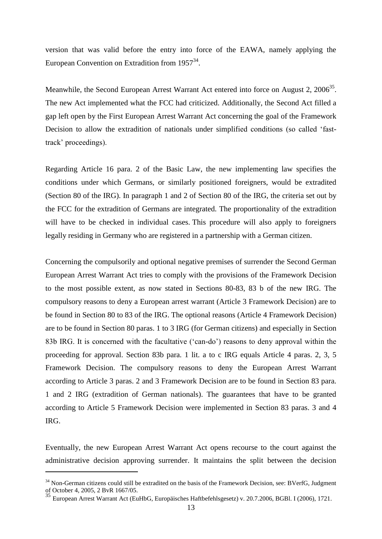version that was valid before the entry into force of the EAWA, namely applying the European Convention on Extradition from  $1957^{34}$ .

Meanwhile, the Second European Arrest Warrant Act entered into force on August 2, 2006<sup>35</sup>. The new Act implemented what the FCC had criticized. Additionally, the Second Act filled a gap left open by the First European Arrest Warrant Act concerning the goal of the Framework Decision to allow the extradition of nationals under simplified conditions (so called 'fasttrack' proceedings).

Regarding Article 16 para. 2 of the Basic Law, the new implementing law specifies the conditions under which Germans, or similarly positioned foreigners, would be extradited (Section 80 of the IRG). In paragraph 1 and 2 of Section 80 of the IRG, the criteria set out by the FCC for the extradition of Germans are integrated. The proportionality of the extradition will have to be checked in individual cases. This procedure will also apply to foreigners legally residing in Germany who are registered in a partnership with a German citizen.

Concerning the compulsorily and optional negative premises of surrender the Second German European Arrest Warrant Act tries to comply with the provisions of the Framework Decision to the most possible extent, as now stated in Sections 80-83, 83 b of the new IRG. The compulsory reasons to deny a European arrest warrant (Article 3 Framework Decision) are to be found in Section 80 to 83 of the IRG. The optional reasons (Article 4 Framework Decision) are to be found in Section 80 paras. 1 to 3 IRG (for German citizens) and especially in Section 83b IRG. It is concerned with the facultative ('can-do') reasons to deny approval within the proceeding for approval. Section 83b para. 1 lit. a to c IRG equals Article 4 paras. 2, 3, 5 Framework Decision. The compulsory reasons to deny the European Arrest Warrant according to Article 3 paras. 2 and 3 Framework Decision are to be found in Section 83 para. 1 and 2 IRG (extradition of German nationals). The guarantees that have to be granted according to Article 5 Framework Decision were implemented in Section 83 paras. 3 and 4 IRG.

Eventually, the new European Arrest Warrant Act opens recourse to the court against the administrative decision approving surrender. It maintains the split between the decision

<sup>&</sup>lt;sup>34</sup> Non-German citizens could still be extradited on the basis of the Framework Decision, see: BVerfG, Judgment of October 4, 2005, 2 BvR 1667/05.

<sup>35</sup> European Arrest Warrant Act (EuHbG, Europäisches Haftbefehlsgesetz) v. 20.7.2006, BGBl. I (2006), 1721.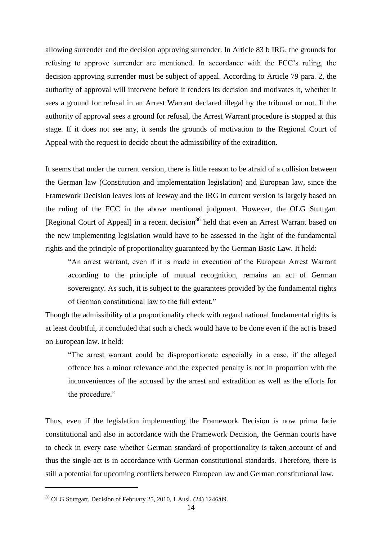allowing surrender and the decision approving surrender. In Article 83 b IRG, the grounds for refusing to approve surrender are mentioned. In accordance with the FCC's ruling, the decision approving surrender must be subject of appeal. According to Article 79 para. 2, the authority of approval will intervene before it renders its decision and motivates it, whether it sees a ground for refusal in an Arrest Warrant declared illegal by the tribunal or not. If the authority of approval sees a ground for refusal, the Arrest Warrant procedure is stopped at this stage. If it does not see any, it sends the grounds of motivation to the Regional Court of Appeal with the request to decide about the admissibility of the extradition.

It seems that under the current version, there is little reason to be afraid of a collision between the German law (Constitution and implementation legislation) and European law, since the Framework Decision leaves lots of leeway and the IRG in current version is largely based on the ruling of the FCC in the above mentioned judgment. However, the OLG Stuttgart [Regional Court of Appeal] in a recent decision<sup>36</sup> held that even an Arrest Warrant based on the new implementing legislation would have to be assessed in the light of the fundamental rights and the principle of proportionality guaranteed by the German Basic Law. It held:

―An arrest warrant, even if it is made in execution of the European Arrest Warrant according to the principle of mutual recognition, remains an act of German sovereignty. As such, it is subject to the guarantees provided by the fundamental rights of German constitutional law to the full extent."

Though the admissibility of a proportionality check with regard national fundamental rights is at least doubtful, it concluded that such a check would have to be done even if the act is based on European law. It held:

―The arrest warrant could be disproportionate especially in a case, if the alleged offence has a minor relevance and the expected penalty is not in proportion with the inconveniences of the accused by the arrest and extradition as well as the efforts for the procedure."

Thus, even if the legislation implementing the Framework Decision is now prima facie constitutional and also in accordance with the Framework Decision, the German courts have to check in every case whether German standard of proportionality is taken account of and thus the single act is in accordance with German constitutional standards. Therefore, there is still a potential for upcoming conflicts between European law and German constitutional law.

<sup>36</sup> OLG Stuttgart, Decision of February 25, 2010, 1 Ausl. (24) 1246/09.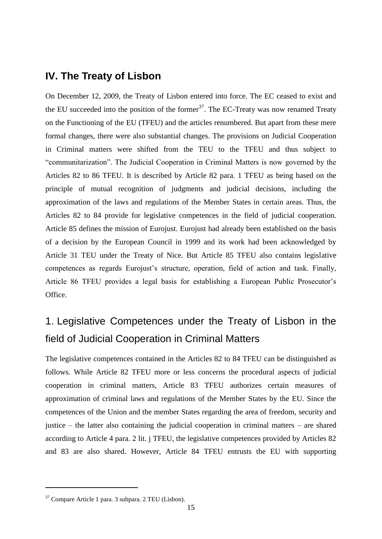### <span id="page-14-0"></span>**IV. The Treaty of Lisbon**

On December 12, 2009, the Treaty of Lisbon entered into force. The EC ceased to exist and the EU succeeded into the position of the former<sup>37</sup>. The EC-Treaty was now renamed Treaty on the Functioning of the EU (TFEU) and the articles renumbered. But apart from these mere formal changes, there were also substantial changes. The provisions on Judicial Cooperation in Criminal matters were shifted from the TEU to the TFEU and thus subject to ―communitarization‖. The Judicial Cooperation in Criminal Matters is now governed by the Articles 82 to 86 TFEU. It is described by Article 82 para. 1 TFEU as being based on the principle of mutual recognition of judgments and judicial decisions, including the approximation of the laws and regulations of the Member States in certain areas. Thus, the Articles 82 to 84 provide for legislative competences in the field of judicial cooperation. Article 85 defines the mission of Eurojust. Eurojust had already been established on the basis of a decision by the European Council in 1999 and its work had been acknowledged by Article 31 TEU under the Treaty of Nice. But Article 85 TFEU also contains legislative competences as regards Eurojust's structure, operation, field of action and task. Finally, Article 86 TFEU provides a legal basis for establishing a European Public Prosecutor's Office.

# <span id="page-14-1"></span>1. Legislative Competences under the Treaty of Lisbon in the field of Judicial Cooperation in Criminal Matters

The legislative competences contained in the Articles 82 to 84 TFEU can be distinguished as follows. While Article 82 TFEU more or less concerns the procedural aspects of judicial cooperation in criminal matters, Article 83 TFEU authorizes certain measures of approximation of criminal laws and regulations of the Member States by the EU. Since the competences of the Union and the member States regarding the area of freedom, security and justice – the latter also containing the judicial cooperation in criminal matters – are shared according to Article 4 para. 2 lit. j TFEU, the legislative competences provided by Articles 82 and 83 are also shared. However, Article 84 TFEU entrusts the EU with supporting

<sup>37</sup> Compare Article 1 para. 3 subpara. 2 TEU (Lisbon).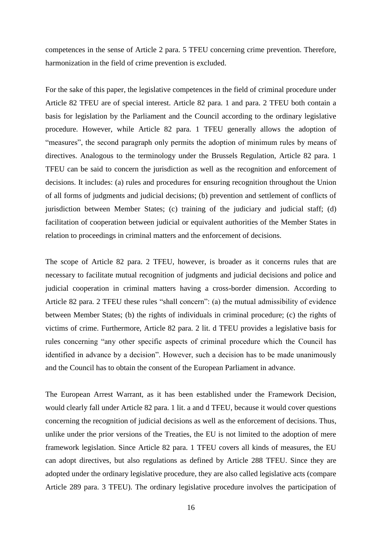competences in the sense of Article 2 para. 5 TFEU concerning crime prevention. Therefore, harmonization in the field of crime prevention is excluded.

For the sake of this paper, the legislative competences in the field of criminal procedure under Article 82 TFEU are of special interest. Article 82 para. 1 and para. 2 TFEU both contain a basis for legislation by the Parliament and the Council according to the ordinary legislative procedure. However, while Article 82 para. 1 TFEU generally allows the adoption of "measures", the second paragraph only permits the adoption of minimum rules by means of directives. Analogous to the terminology under the Brussels Regulation, Article 82 para. 1 TFEU can be said to concern the jurisdiction as well as the recognition and enforcement of decisions. It includes: (a) rules and procedures for ensuring recognition throughout the Union of all forms of judgments and judicial decisions; (b) prevention and settlement of conflicts of jurisdiction between Member States; (c) training of the judiciary and judicial staff; (d) facilitation of cooperation between judicial or equivalent authorities of the Member States in relation to proceedings in criminal matters and the enforcement of decisions.

The scope of Article 82 para. 2 TFEU, however, is broader as it concerns rules that are necessary to facilitate mutual recognition of judgments and judicial decisions and police and judicial cooperation in criminal matters having a cross-border dimension. According to Article 82 para. 2 TFEU these rules "shall concern": (a) the mutual admissibility of evidence between Member States; (b) the rights of individuals in criminal procedure; (c) the rights of victims of crime. Furthermore, Article 82 para. 2 lit. d TFEU provides a legislative basis for rules concerning "any other specific aspects of criminal procedure which the Council has identified in advance by a decision". However, such a decision has to be made unanimously and the Council has to obtain the consent of the European Parliament in advance.

The European Arrest Warrant, as it has been established under the Framework Decision, would clearly fall under Article 82 para. 1 lit. a and d TFEU, because it would cover questions concerning the recognition of judicial decisions as well as the enforcement of decisions. Thus, unlike under the prior versions of the Treaties, the EU is not limited to the adoption of mere framework legislation. Since Article 82 para. 1 TFEU covers all kinds of measures, the EU can adopt directives, but also regulations as defined by Article 288 TFEU. Since they are adopted under the ordinary legislative procedure, they are also called legislative acts (compare Article 289 para. 3 TFEU). The ordinary legislative procedure involves the participation of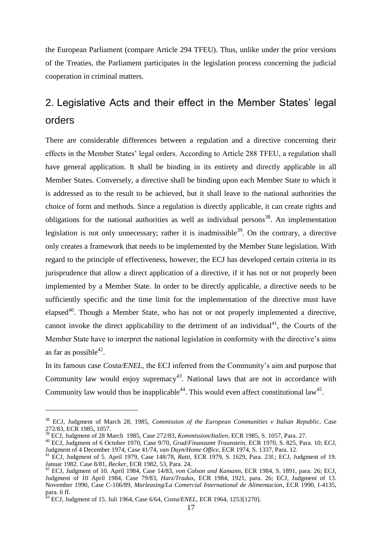the European Parliament (compare Article 294 TFEU). Thus, unlike under the prior versions of the Treaties, the Parliament participates in the legislation process concerning the judicial cooperation in criminal matters.

# <span id="page-16-0"></span>2. Legislative Acts and their effect in the Member States' legal orders

There are considerable differences between a regulation and a directive concerning their effects in the Member States' legal orders. According to Article 288 TFEU, a regulation shall have general application. It shall be binding in its entirety and directly applicable in all Member States. Conversely, a directive shall be binding upon each Member State to which it is addressed as to the result to be achieved, but it shall leave to the national authorities the choice of form and methods. Since a regulation is directly applicable, it can create rights and obligations for the national authorities as well as individual persons<sup>38</sup>. An implementation legislation is not only unnecessary; rather it is inadmissible<sup>39</sup>. On the contrary, a directive only creates a framework that needs to be implemented by the Member State legislation. With regard to the principle of effectiveness, however, the ECJ has developed certain criteria in its jurisprudence that allow a direct application of a directive, if it has not or not properly been implemented by a Member State. In order to be directly applicable, a directive needs to be sufficiently specific and the time limit for the implementation of the directive must have elapsed<sup>40</sup>. Though a Member State, who has not or not properly implemented a directive, cannot invoke the direct applicability to the detriment of an individual<sup>41</sup>, the Courts of the Member State have to interpret the national legislation in conformity with the directive's aims as far as possible<sup>42</sup>.

In its famous case *Costa/ENEL*, the ECJ inferred from the Community's aim and purpose that Community law would enjoy supremacy*<sup>43</sup>*. National laws that are not in accordance with Community law would thus be inapplicable<sup>44</sup>. This would even affect constitutional law<sup>45</sup>.

<sup>38</sup> ECJ, Judgment of March 28, 1985, *Commission of the European Communities v Italian Republic*, Case 272/83, ECR 1985, 1057.

<sup>39</sup> ECJ, Judgment of 28 March 1985, Case 272/83, *Kommission/Italien*, ECR 1985, S. 1057, Para. 27.

<sup>40</sup> ECJ, Judgment of 6 October 1970, Case 9/70, *Grad/Finanzamt Traunstein*, ECR 1970, S. 825, Para. 10; ECJ, Judgment of 4 December 1974, Case 41/74, *van Duyn/Home Office*, ECR 1974, S. 1337, Para. 12.

<sup>41</sup> ECJ, Judgment of 5. April 1979, Case 148/78, *Ratti*, ECR 1979, S. 1629, Para. 23f.; ECJ, Judgment of 19. Januar 1982. Case 8/81, *Becker*, ECR 1982, 53, Para. 24.

<sup>42</sup> ECJ, Judgment of 10. April 1984, Case 14/83, *von Colson und Kamann*, ECR 1984, S. 1891, para. 26; ECJ, Judgment of 10 April 1984, Case 79/83, *Harz/Tradax*, ECR 1984, 1921, para. 26; ECJ, Judgment of 13. November 1990, Case C-106/89, *Marleasing/La Comercial International de Alimentacíon*, ECR 1990, I-4135, para. 6 ff.

<sup>43</sup> ECJ, Judgment of 15. Juli 1964, Case 6/64, *Costa/ENEL*, ECR 1964, 1253[1270].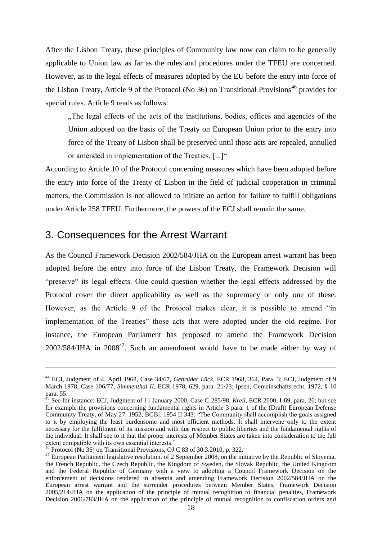After the Lisbon Treaty, these principles of Community law now can claim to be generally applicable to Union law as far as the rules and procedures under the TFEU are concerned. However, as to the legal effects of measures adopted by the EU before the entry into force of the Lisbon Treaty, Article 9 of the Protocol (No 36) on Transitional Provisions<sup>46</sup> provides for special rules. Article 9 reads as follows:

..The legal effects of the acts of the institutions, bodies, offices and agencies of the Union adopted on the basis of the Treaty on European Union prior to the entry into force of the Treaty of Lisbon shall be preserved until those acts are repealed, annulled or amended in implementation of the Treaties. [...]"

According to Article 10 of the Protocol concerning measures which have been adopted before the entry into force of the Treaty of Lisbon in the field of judicial cooperation in criminal matters, the Commission is not allowed to initiate an action for failure to fulfill obligations under Article 258 TFEU. Furthermore, the powers of the ECJ shall remain the same.

#### <span id="page-17-0"></span>3. Consequences for the Arrest Warrant

As the Council Framework Decision 2002/584/JHA on the European arrest warrant has been adopted before the entry into force of the Lisbon Treaty, the Framework Decision will "preserve" its legal effects. One could question whether the legal effects addressed by the Protocol cover the direct applicability as well as the supremacy or only one of these. However, as the Article 9 of the Protocol makes clear, it is possible to amend "in implementation of the Treaties" those acts that were adopted under the old regime. For instance, the European Parliament has proposed to amend the Framework Decision  $2002/584/JHA$  in  $2008<sup>47</sup>$ . Such an amendment would have to be made either by way of

 $\overline{a}$ 

<sup>44</sup> ECJ, Judgment of 4. April 1968, Case 34/67, *Gebrüder Lück*, ECR 1968, 364, Para. 3; ECJ, Judgment of 9 March 1978, Case 106/77, *Simmenthal II*, ECR 1978, 629, para. 21/23; Ipsen, Gemeinschaftsrecht, 1972, § 10 para. 55.

<sup>&</sup>lt;sup>45</sup> See for instance: ECJ, Judgment of 11 January 2000, Case C-285/98, *Kreil*, ECR 2000, I-69, para. 26; but see for example the provisions concerning fundamental rights in Article 3 para. 1 of the (Draft) European Defense Community Treaty, of May 27, 1952, BGBl. 1954 II 343: "The Community shall accomplish the goals assigned to it by employing the least burdensome and most efficient methods. It shall intervene only to the extent necessary for the fulfilment of its mission and with due respect to public liberties and the fundamental rights of the individual. It shall see to it that the proper interests of Member States are taken into consideration to the full extent compatible with its own essential interests."

 $^{46}$  Protocol (No 36) on Transitional Provisions, OJ C 83 of 30.3.2010, p. 322.

 $47$  European Parliament legislative resolution, of 2 September 2008, on the initiative by the Republic of Slovenia, the French Republic, the Czech Republic, the Kingdom of Sweden, the Slovak Republic, the United Kingdom and the Federal Republic of Germany with a view to adopting a Council Framework Decision on the enforcement of decisions rendered in absentia and amending Framework Decision 2002/584/JHA on the European arrest warrant and the surrender procedures between Member States, Framework Decision 2005/214/JHA on the application of the principle of mutual recognition to financial penalties, Framework Decision 2006/783/JHA on the application of the principle of mutual recognition to confiscation orders and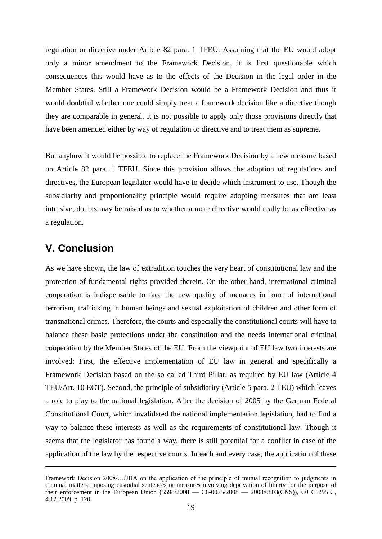regulation or directive under Article 82 para. 1 TFEU. Assuming that the EU would adopt only a minor amendment to the Framework Decision, it is first questionable which consequences this would have as to the effects of the Decision in the legal order in the Member States. Still a Framework Decision would be a Framework Decision and thus it would doubtful whether one could simply treat a framework decision like a directive though they are comparable in general. It is not possible to apply only those provisions directly that have been amended either by way of regulation or directive and to treat them as supreme.

But anyhow it would be possible to replace the Framework Decision by a new measure based on Article 82 para. 1 TFEU. Since this provision allows the adoption of regulations and directives, the European legislator would have to decide which instrument to use. Though the subsidiarity and proportionality principle would require adopting measures that are least intrusive, doubts may be raised as to whether a mere directive would really be as effective as a regulation.

## <span id="page-18-0"></span>**V. Conclusion**

 $\overline{a}$ 

As we have shown, the law of extradition touches the very heart of constitutional law and the protection of fundamental rights provided therein. On the other hand, international criminal cooperation is indispensable to face the new quality of menaces in form of international terrorism, trafficking in human beings and sexual exploitation of children and other form of transnational crimes. Therefore, the courts and especially the constitutional courts will have to balance these basic protections under the constitution and the needs international criminal cooperation by the Member States of the EU. From the viewpoint of EU law two interests are involved: First, the effective implementation of EU law in general and specifically a Framework Decision based on the so called Third Pillar, as required by EU law (Article 4 TEU/Art. 10 ECT). Second, the principle of subsidiarity (Article 5 para. 2 TEU) which leaves a role to play to the national legislation. After the decision of 2005 by the German Federal Constitutional Court, which invalidated the national implementation legislation, had to find a way to balance these interests as well as the requirements of constitutional law. Though it seems that the legislator has found a way, there is still potential for a conflict in case of the application of the law by the respective courts. In each and every case, the application of these

Framework Decision 2008/…/JHA on the application of the principle of mutual recognition to judgments in criminal matters imposing custodial sentences or measures involving deprivation of liberty for the purpose of their enforcement in the European Union (5598/2008 — C6-0075/2008 — 2008/0803(CNS)), OJ C 295E , 4.12.2009, p. 120.